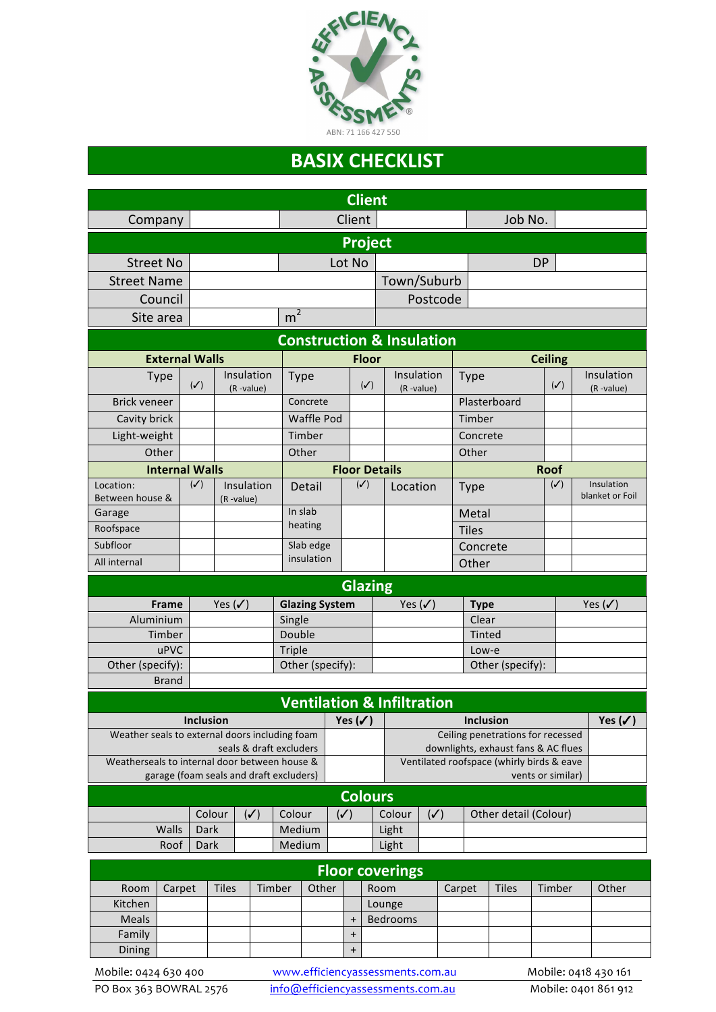

## **BASIX CHECKLIST**

| <b>Client</b>                                                      |                       |                         |                            |              |                                           |                |                |                                                       |                |                |                       |                |  |                               |  |  |
|--------------------------------------------------------------------|-----------------------|-------------------------|----------------------------|--------------|-------------------------------------------|----------------|----------------|-------------------------------------------------------|----------------|----------------|-----------------------|----------------|--|-------------------------------|--|--|
| Company                                                            |                       |                         |                            | Client       |                                           |                |                |                                                       |                |                | Job No.               |                |  |                               |  |  |
| Project                                                            |                       |                         |                            |              |                                           |                |                |                                                       |                |                |                       |                |  |                               |  |  |
| <b>Street No</b>                                                   | Lot No                |                         |                            |              | <b>DP</b>                                 |                |                |                                                       |                |                |                       |                |  |                               |  |  |
| <b>Street Name</b>                                                 |                       |                         |                            |              |                                           |                |                |                                                       | Town/Suburb    |                |                       |                |  |                               |  |  |
| Council                                                            |                       |                         |                            |              |                                           |                |                |                                                       | Postcode       |                |                       |                |  |                               |  |  |
| Site area                                                          |                       |                         |                            |              | m <sup>2</sup>                            |                |                |                                                       |                |                |                       |                |  |                               |  |  |
| <b>Construction &amp; Insulation</b>                               |                       |                         |                            |              |                                           |                |                |                                                       |                |                |                       |                |  |                               |  |  |
| <b>External Walls</b>                                              |                       |                         |                            | <b>Floor</b> |                                           |                |                |                                                       |                | <b>Ceiling</b> |                       |                |  |                               |  |  |
| <b>Type</b>                                                        |                       | $(\checkmark)$          | Insulation<br>(R-value)    | <b>Type</b>  |                                           |                | $(\checkmark)$ | Insulation<br>(R-value)                               |                | <b>Type</b>    |                       | $(\checkmark)$ |  | Insulation<br>(R-value)       |  |  |
| <b>Brick veneer</b>                                                |                       |                         |                            | Concrete     |                                           |                |                |                                                       |                |                | Plasterboard          |                |  |                               |  |  |
| Cavity brick                                                       |                       |                         |                            |              | Waffle Pod                                |                |                |                                                       |                | Timber         |                       |                |  |                               |  |  |
| Light-weight                                                       |                       |                         |                            | Timber       |                                           |                |                |                                                       |                | Concrete       |                       |                |  |                               |  |  |
| Other                                                              |                       |                         |                            | Other        |                                           |                |                |                                                       | Other          |                |                       |                |  |                               |  |  |
|                                                                    | <b>Internal Walls</b> |                         |                            |              | <b>Floor Details</b>                      |                |                |                                                       |                |                |                       | <b>Roof</b>    |  |                               |  |  |
| Location:<br>Between house &                                       |                       | $(\checkmark)$          | Insulation<br>(R-value)    | Detail       |                                           | $(\checkmark)$ |                | Location                                              |                | <b>Type</b>    |                       | $(\checkmark)$ |  | Insulation<br>blanket or Foil |  |  |
| Garage                                                             |                       |                         |                            | In slab      |                                           |                |                |                                                       |                | Metal          |                       |                |  |                               |  |  |
| Roofspace                                                          |                       |                         |                            | heating      |                                           |                |                |                                                       | <b>Tiles</b>   |                |                       |                |  |                               |  |  |
| Subfloor                                                           |                       |                         |                            | Slab edge    |                                           |                |                |                                                       |                |                | Concrete              |                |  |                               |  |  |
| All internal                                                       |                       |                         |                            | insulation   |                                           |                |                |                                                       |                | Other          |                       |                |  |                               |  |  |
| <b>Glazing</b>                                                     |                       |                         |                            |              |                                           |                |                |                                                       |                |                |                       |                |  |                               |  |  |
| <b>Frame</b>                                                       |                       | <b>Glazing System</b>   |                            |              | Yes $(\checkmark)$                        |                |                | <b>Type</b>                                           |                |                | Yes $(\checkmark)$    |                |  |                               |  |  |
| Aluminium                                                          |                       |                         | Single                     |              |                                           |                |                |                                                       |                | Clear          |                       |                |  |                               |  |  |
| Timber                                                             |                       |                         | Double                     |              |                                           |                |                |                                                       |                | Tinted         |                       |                |  |                               |  |  |
| uPVC                                                               |                       |                         | Triple<br>Other (specify): |              |                                           |                |                |                                                       |                | Low-e          |                       |                |  |                               |  |  |
| Other (specify):                                                   |                       |                         |                            |              | Other (specify):                          |                |                |                                                       |                |                |                       |                |  |                               |  |  |
| <b>Brand</b><br><b>Ventilation &amp; Infiltration</b>              |                       |                         |                            |              |                                           |                |                |                                                       |                |                |                       |                |  |                               |  |  |
|                                                                    |                       |                         |                            |              |                                           |                |                |                                                       |                |                |                       |                |  |                               |  |  |
| <b>Inclusion</b><br>Weather seals to external doors including foam |                       |                         |                            |              | Yes $(\checkmark)$                        |                |                | <b>Inclusion</b><br>Ceiling penetrations for recessed |                |                |                       |                |  | Yes $(\checkmark)$            |  |  |
|                                                                    |                       | seals & draft excluders |                            |              | downlights, exhaust fans & AC flues       |                |                |                                                       |                |                |                       |                |  |                               |  |  |
| Weatherseals to internal door between house &                      |                       |                         |                            |              | Ventilated roofspace (whirly birds & eave |                |                |                                                       |                |                |                       |                |  |                               |  |  |
| garage (foam seals and draft excluders)<br>vents or similar)       |                       |                         |                            |              |                                           |                |                |                                                       |                |                |                       |                |  |                               |  |  |
|                                                                    |                       |                         |                            |              |                                           | <b>Colours</b> |                |                                                       |                |                |                       |                |  |                               |  |  |
|                                                                    |                       | Colour                  | $(\checkmark)$             | Colour       |                                           | $(\checkmark)$ |                | Colour                                                | $(\checkmark)$ |                | Other detail (Colour) |                |  |                               |  |  |
| Walls<br>Dark                                                      |                       |                         | Medium                     |              |                                           | Light          |                |                                                       |                |                |                       |                |  |                               |  |  |
| Medium<br>Roof<br>Dark<br>Light                                    |                       |                         |                            |              |                                           |                |                |                                                       |                |                |                       |                |  |                               |  |  |
| <b>Floor coverings</b>                                             |                       |                         |                            |              |                                           |                |                |                                                       |                |                |                       |                |  |                               |  |  |
| Room                                                               | Carpet                | <b>Tiles</b>            | Timber                     |              | Other                                     |                | Room           |                                                       |                | Carpet         | <b>Tiles</b>          | Timber         |  | Other                         |  |  |
| Kitchen                                                            |                       |                         |                            |              |                                           |                | Lounge         |                                                       |                |                |                       |                |  |                               |  |  |
| Meals                                                              |                       |                         |                            |              |                                           | $\ddot{}$      |                | Bedrooms                                              |                |                |                       |                |  |                               |  |  |
| Family                                                             |                       |                         |                            |              |                                           | $\ddot{}$      |                |                                                       |                |                |                       |                |  |                               |  |  |
| Dining                                                             |                       |                         |                            |              |                                           | $\ddot{}$      |                |                                                       |                |                |                       |                |  |                               |  |  |

Mobile: 0424 630 400 www.efficiencyassessments.com.au Mobile: 0418 430 161<br>
PO Box 363 BOWRAL 2576 info@efficiencyassessments.com.au Mobile: 0401 861 912 info@efficiencyassessments.com.au